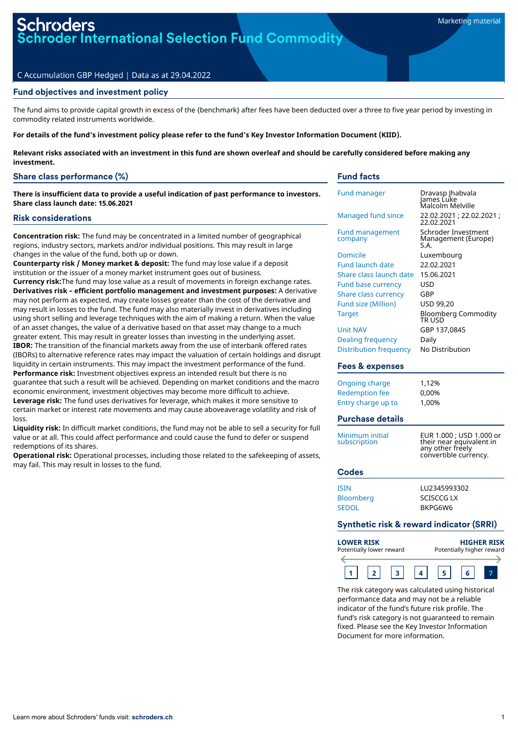der International Selection Fund Commodity

#### C Accumulation GBP Hedged | Data as at 29.04.2022

## Fund objectives and investment policy

The fund aims to provide capital growth in excess of the {benchmark} after fees have been deducted over a three to five year period by investing in commodity related instruments worldwide.

For details of the fund's investment policy please refer to the fund's Key Investor Information Document (KIID).

Relevant risks associated with an investment in this fund are shown overleaf and should be carefully considered before making any **investment.**

## Share class performance (%)

**There is insufficient data to provide a useful indication of past performance to investors. Share class launch date: 15.06.2021**

#### Risk considerations

**Concentration risk:** The fund may be concentrated in a limited number of geographical regions, industry sectors, markets and/or individual positions. This may result in large changes in the value of the fund, both up or down.

**Counterparty risk / Money market & deposit:** The fund may lose value if a deposit institution or the issuer of a money market instrument goes out of business. **Currency risk:**The fund may lose value as a result of movements in foreign exchange rates. **Derivatives risk – efficient portfolio management and investment purposes:** A derivative

may not perform as expected, may create losses greater than the cost of the derivative and may result in losses to the fund. The fund may also materially invest in derivatives including using short selling and leverage techniques with the aim of making a return. When the value of an asset changes, the value of a derivative based on that asset may change to a much greater extent. This may result in greater losses than investing in the underlying asset. **IBOR:** The transition of the financial markets away from the use of interbank offered rates (IBORs) to alternative reference rates may impact the valuation of certain holdings and disrupt liquidity in certain instruments. This may impact the investment performance of the fund. **Performance risk:** Investment objectives express an intended result but there is no guarantee that such a result will be achieved. Depending on market conditions and the macro economic environment, investment objectives may become more difficult to achieve. **Leverage risk:** The fund uses derivatives for leverage, which makes it more sensitive to certain market or interest rate movements and may cause aboveaverage volatility and risk of loss.

**Liquidity risk:** In difficult market conditions, the fund may not be able to sell a security for full value or at all. This could affect performance and could cause the fund to defer or suspend redemptions of its shares.

**Operational risk:** Operational processes, including those related to the safekeeping of assets, may fail. This may result in losses to the fund.

## Fund facts

| <b>Fund manager</b>                                                                                                                                                | Dravasp Jhabvala<br>James Luke<br>Malcolm Melville                                                        |  |
|--------------------------------------------------------------------------------------------------------------------------------------------------------------------|-----------------------------------------------------------------------------------------------------------|--|
| Managed fund since                                                                                                                                                 | 22.02.2021; 22.02.2021;<br>22.02.2021                                                                     |  |
| <b>Fund management</b><br>company                                                                                                                                  | Schroder Investment<br>Management (Europe)<br>S.A.                                                        |  |
| Domicile<br>Fund launch date<br>Share class launch date<br><b>Fund base currency</b><br><b>Share class currency</b><br><b>Fund size (Million)</b><br><b>Target</b> | Luxembourg<br>22.02.2021<br>15.06.2021<br>USD<br>GBP<br>USD 99,20<br><b>Bloomberg Commodity</b><br>TR USD |  |
| <b>Unit NAV</b><br><b>Dealing frequency</b><br><b>Distribution frequency</b>                                                                                       | GBP 137,0845<br>Daily<br>No Distribution                                                                  |  |
| <b>Fees &amp; expenses</b>                                                                                                                                         |                                                                                                           |  |
| <b>Ongoing charge</b><br><b>Redemption fee</b><br>Entry charge up to                                                                                               | 1,12%<br>0,00%<br>1,00%                                                                                   |  |
| <b>Purchase details</b>                                                                                                                                            |                                                                                                           |  |
| Minimum initial<br>subscription                                                                                                                                    | EUR 1.000 ; USD 1.000 or<br>their near equivalent in<br>any other freely<br>convertible currency.         |  |
| <b>Codes</b>                                                                                                                                                       |                                                                                                           |  |
| <b>ISIN</b><br>Bloomberg<br><b>SEDOL</b>                                                                                                                           | LU2345993302<br><b>SCISCCG LX</b><br>BKPG6W6                                                              |  |
| <b>Synthetic risk &amp; reward indicator (SRRI)</b>                                                                                                                |                                                                                                           |  |
| <b>LOWER RISK</b><br>Potentially lower reward                                                                                                                      | HIGHER RISK<br>Potentially higher reward                                                                  |  |



The risk category was calculated using historical performance data and may not be a reliable indicator of the fund's future risk profile. The fund's risk category is not guaranteed to remain fixed. Please see the Key Investor Information Document for more information.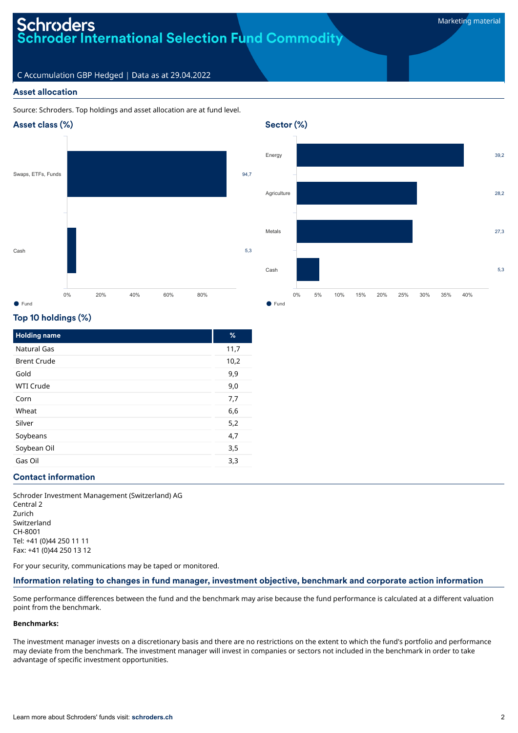# roders **Schroder International Selection Fund Commodity**

# C Accumulation GBP Hedged | Data as at 29.04.2022

## Asset allocation

### Source: Schroders. Top holdings and asset allocation are at fund level.







# Top 10 holdings (%)

| <b>Holding name</b> | %    |
|---------------------|------|
| Natural Gas         | 11,7 |
| <b>Brent Crude</b>  | 10,2 |
| Gold                | 9,9  |
| <b>WTI Crude</b>    | 9,0  |
| Corn                | 7,7  |
| Wheat               | 6,6  |
| Silver              | 5,2  |
| Soybeans            | 4,7  |
| Soybean Oil         | 3,5  |
| Gas Oil             | 3,3  |

### Contact information

Schroder Investment Management (Switzerland) AG Central 2 Zurich Switzerland CH-8001 Tel: +41 (0)44 250 11 11 Fax: +41 (0)44 250 13 12

For your security, communications may be taped or monitored.

### Information relating to changes in fund manager, investment objective, benchmark and corporate action information

Some performance differences between the fund and the benchmark may arise because the fund performance is calculated at a different valuation point from the benchmark.

#### **Benchmarks:**

The investment manager invests on a discretionary basis and there are no restrictions on the extent to which the fund's portfolio and performance may deviate from the benchmark. The investment manager will invest in companies or sectors not included in the benchmark in order to take advantage of specific investment opportunities.